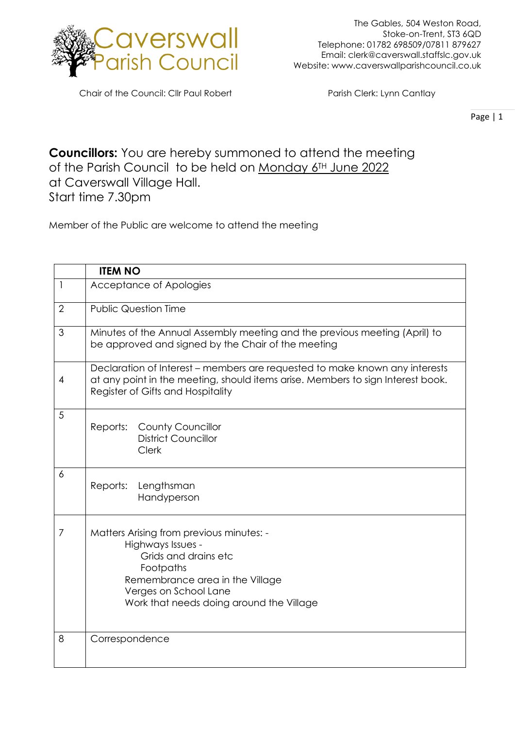

Chair of the Council: Cllr Paul Robert Parish Clerk: Lynn Cantlay

Page | 1

**Councillors:** You are hereby summoned to attend the meeting of the Parish Council to be held on Monday 6<sup>TH</sup> June 2022 at Caverswall Village Hall. Start time 7.30pm

Member of the Public are welcome to attend the meeting

|                | <b>ITEM NO</b>                                                                                                                                                                                             |
|----------------|------------------------------------------------------------------------------------------------------------------------------------------------------------------------------------------------------------|
| 1              | Acceptance of Apologies                                                                                                                                                                                    |
| $\overline{2}$ | <b>Public Question Time</b>                                                                                                                                                                                |
| 3              | Minutes of the Annual Assembly meeting and the previous meeting (April) to<br>be approved and signed by the Chair of the meeting                                                                           |
| 4              | Declaration of Interest – members are requested to make known any interests<br>at any point in the meeting, should items arise. Members to sign Interest book.<br>Register of Gifts and Hospitality        |
| 5              | <b>County Councillor</b><br>Reports:<br><b>District Councillor</b><br><b>Clerk</b>                                                                                                                         |
| 6              | Reports:<br>Lengthsman<br>Handyperson                                                                                                                                                                      |
| $\overline{7}$ | Matters Arising from previous minutes: -<br>Highways Issues -<br>Grids and drains etc<br>Footpaths<br>Remembrance area in the Village<br>Verges on School Lane<br>Work that needs doing around the Village |
| 8              | Correspondence                                                                                                                                                                                             |